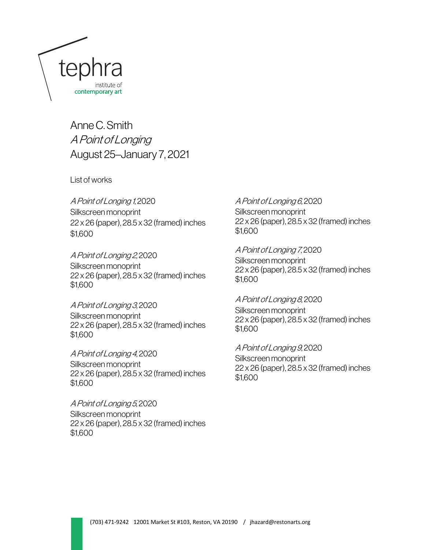

Anne C. Smith A Point of Longing August 25–January 7, 2021

List of works

A Point of Longing 1, 2020 Silkscreen monoprint 22 x 26 (paper), 28.5 x 32 (framed) inches \$1,600

A Point of Longing 2, 2020 Silkscreen monoprint 22 x 26 (paper), 28.5 x 32 (framed) inches \$1,600

A Point of Longing 3, 2020 Silkscreen monoprint 22 x 26 (paper), 28.5 x 32 (framed) inches \$1,600

A Point of Longing 4, 2020 Silkscreen monoprint 22 x 26 (paper), 28.5 x 32 (framed) inches \$1,600

A Point of Longing 5, 2020 Silkscreen monoprint 22 x 26 (paper), 28.5 x 32 (framed) inches \$1,600

 $\overline{\phantom{a}}$ 

A Point of Longing 6, 2020 Silkscreen monoprint 22 x 26 (paper), 28.5 x 32 (framed) inches \$1,600

A Point of Longing 7, 2020 Silkscreen monoprint 22 x 26 (paper), 28.5 x 32 (framed) inches \$1,600

A Point of Longing 8, 2020 Silkscreen monoprint 22 x 26 (paper), 28.5 x 32 (framed) inches \$1,600

A Point of Longing 9, 2020 Silkscreen monoprint 22 x 26 (paper), 28.5 x 32 (framed) inches \$1,600